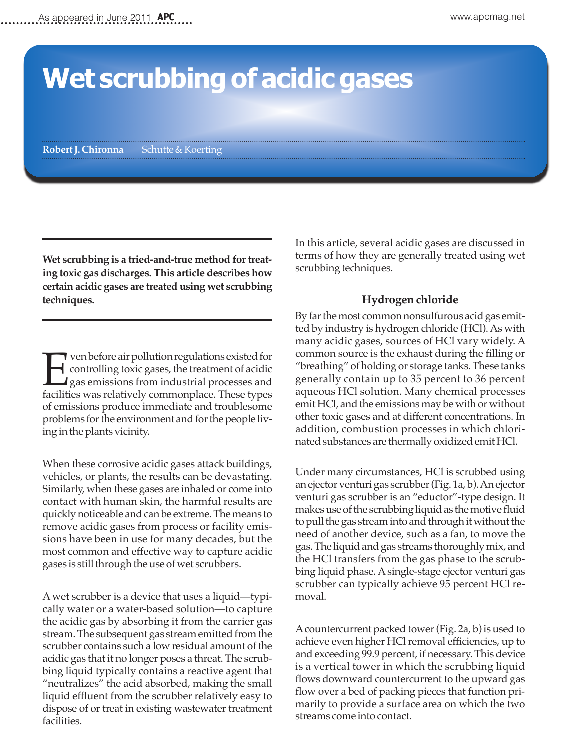# **Wet scrubbing of acidic gases**

**Robert J. Chironna** Schutte & Koerting

**Wet scrubbing is a tried-and-true method for treating toxic gas discharges. This article describes how certain acidic gases are treated using wet scrubbing techniques.**

T ven before air pollution regulations existed for<br>controlling toxic gases, the treatment of acidic<br>gas emissions from industrial processes and<br>facilities was relatively commonplace. These types controlling toxic gases, the treatment of acidic gas emissions from industrial processes and facilities was relatively commonplace. These types of emissions produce immediate and troublesome problems for the environment and for the people living in the plants vicinity.

When these corrosive acidic gases attack buildings, vehicles, or plants, the results can be devastating. Similarly, when these gases are inhaled or come into contact with human skin, the harmful results are quickly noticeable and can be extreme. The means to remove acidic gases from process or facility emissions have been in use for many decades, but the most common and effective way to capture acidic gases is still through the use of wet scrubbers.

A wet scrubber is a device that uses a liquid—typically water or a water-based solution—to capture the acidic gas by absorbing it from the carrier gas stream. The subsequent gas stream emitted from the scrubber contains such a low residual amount of the acidic gas that it no longer poses a threat. The scrubbing liquid typically contains a reactive agent that "neutralizes" the acid absorbed, making the small liquid effluent from the scrubber relatively easy to dispose of or treat in existing wastewater treatment facilities.

In this article, several acidic gases are discussed in terms of how they are generally treated using wet scrubbing techniques.

#### **Hydrogen chloride**

By far the most common nonsulfurous acid gas emitted by industry is hydrogen chloride (HCl). As with many acidic gases, sources of HCl vary widely. A common source is the exhaust during the filling or "breathing" of holding or storage tanks. These tanks generally contain up to 35 percent to 36 percent aqueous HCl solution. Many chemical processes emit HCl, and the emissions may be with or without other toxic gases and at different concentrations. In addition, combustion processes in which chlorinated substances are thermally oxidized emit HCl.

Under many circumstances, HCl is scrubbed using an ejector venturi gas scrubber (Fig. 1a, b). An ejector venturi gas scrubber is an "eductor"-type design. It makes use of the scrubbing liquid as the motive fluid to pull the gas stream into and through it without the need of another device, such as a fan, to move the gas. The liquid and gas streams thoroughly mix, and the HCl transfers from the gas phase to the scrubbing liquid phase. A single-stage ejector venturi gas scrubber can typically achieve 95 percent HCl removal.

A countercurrent packed tower (Fig. 2a, b) is used to achieve even higher HCl removal efficiencies, up to and exceeding 99.9 percent, if necessary. This device is a vertical tower in which the scrubbing liquid flows downward countercurrent to the upward gas flow over a bed of packing pieces that function primarily to provide a surface area on which the two streams come into contact.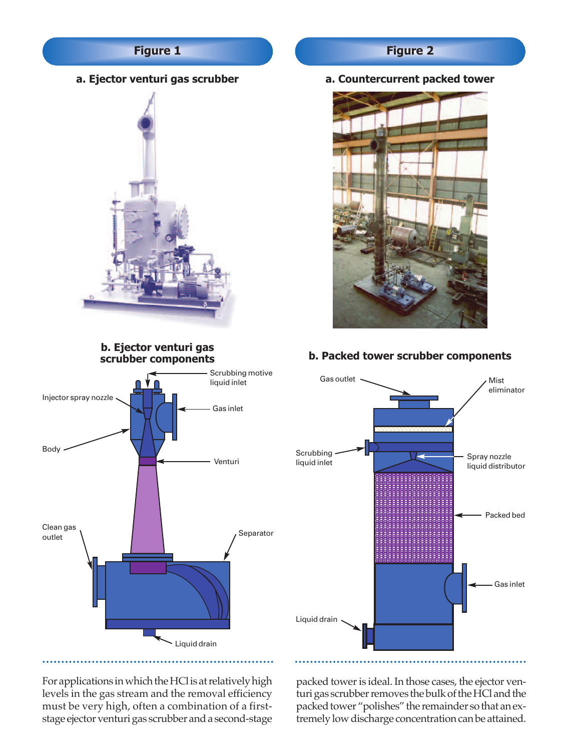# **Figure 1**

**a. Ejector venturi gas scrubber**



#### **b. Ejector venturi gas scrubber components**



#### **a. Countercurrent packed tower**



# **b. Packed tower scrubber components**



For applications in which the HCl is at relatively high levels in the gas stream and the removal efficiency must be very high, often a combination of a firststage ejector venturi gas scrubber and a second-stage packed tower is ideal. In those cases, the ejector venturi gas scrubber removes the bulk of the HCl and the packed tower "polishes" the remainder so that an extremely low discharge concentration can be attained.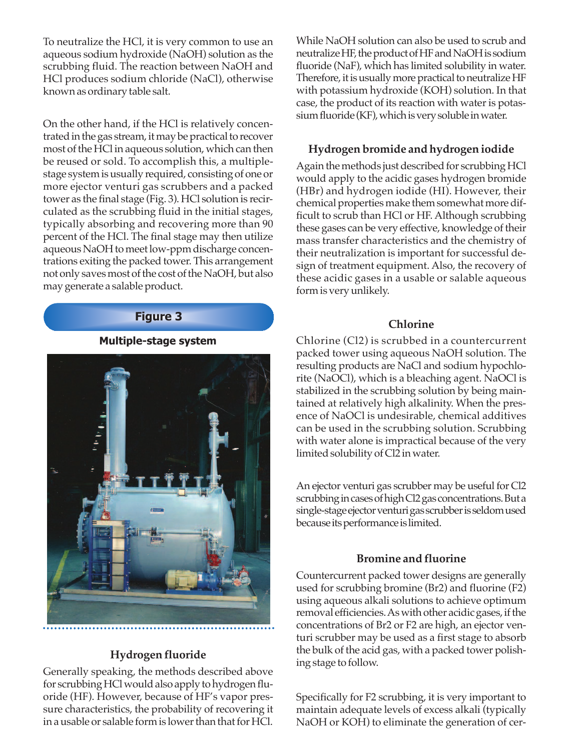To neutralize the HCl, it is very common to use an aqueous sodium hydroxide (NaOH) solution as the scrubbing fluid. The reaction between NaOH and HCl produces sodium chloride (NaCl), otherwise known as ordinary table salt.

On the other hand, if the HCl is relatively concentrated in the gas stream, it may be practical to recover most of the HCl in aqueous solution, which can then be reused or sold. To accomplish this, a multiplestage system is usually required, consisting of one or more ejector venturi gas scrubbers and a packed tower as the final stage (Fig. 3). HCl solution is recirculated as the scrubbing fluid in the initial stages, typically absorbing and recovering more than 90 percent of the HCl. The final stage may then utilize aqueous NaOH to meet low-ppm discharge concentrations exiting the packed tower. This arrangement not only saves most of the cost of the NaOH, but also may generate a salable product.

#### **Figure 3**

**Multiple-stage system**



#### **Hydrogen fluoride**

Generally speaking, the methods described above for scrubbing HCl would also apply to hydrogen fluoride (HF). However, because of HF's vapor pressure characteristics, the probability of recovering it in a usable or salable form is lower than that for HCl.

While NaOH solution can also be used to scrub and neutralize HF, the product of HF and NaOH is sodium fluoride (NaF), which has limited solubility in water. Therefore, it is usually more practical to neutralize HF with potassium hydroxide (KOH) solution. In that case, the product of its reaction with water is potassium fluoride (KF), which is very soluble in water.

# **Hydrogen bromide and hydrogen iodide**

Again the methods just described for scrubbing HCl would apply to the acidic gases hydrogen bromide (HBr) and hydrogen iodide (HI). However, their chemical properties make them somewhat more difficult to scrub than HCl or HF. Although scrubbing these gases can be very effective, knowledge of their mass transfer characteristics and the chemistry of their neutralization is important for successful design of treatment equipment. Also, the recovery of these acidic gases in a usable or salable aqueous form is very unlikely.

## **Chlorine**

Chlorine (Cl2) is scrubbed in a countercurrent packed tower using aqueous NaOH solution. The resulting products are NaCl and sodium hypochlorite (NaOCl), which is a bleaching agent. NaOCl is stabilized in the scrubbing solution by being maintained at relatively high alkalinity. When the presence of NaOCl is undesirable, chemical additives can be used in the scrubbing solution. Scrubbing with water alone is impractical because of the very limited solubility of Cl2 in water.

An ejector venturi gas scrubber may be useful for Cl2 scrubbing in cases of high Cl2 gas concentrations. But a single-stage ejector venturi gas scrubber is seldom used because its performance is limited.

## **Bromine and fluorine**

Countercurrent packed tower designs are generally used for scrubbing bromine (Br2) and fluorine (F2) using aqueous alkali solutions to achieve optimum removal efficiencies. As with other acidic gases, if the concentrations of Br2 or F2 are high, an ejector venturi scrubber may be used as a first stage to absorb the bulk of the acid gas, with a packed tower polishing stage to follow.

Specifically for F2 scrubbing, it is very important to maintain adequate levels of excess alkali (typically NaOH or KOH) to eliminate the generation of cer